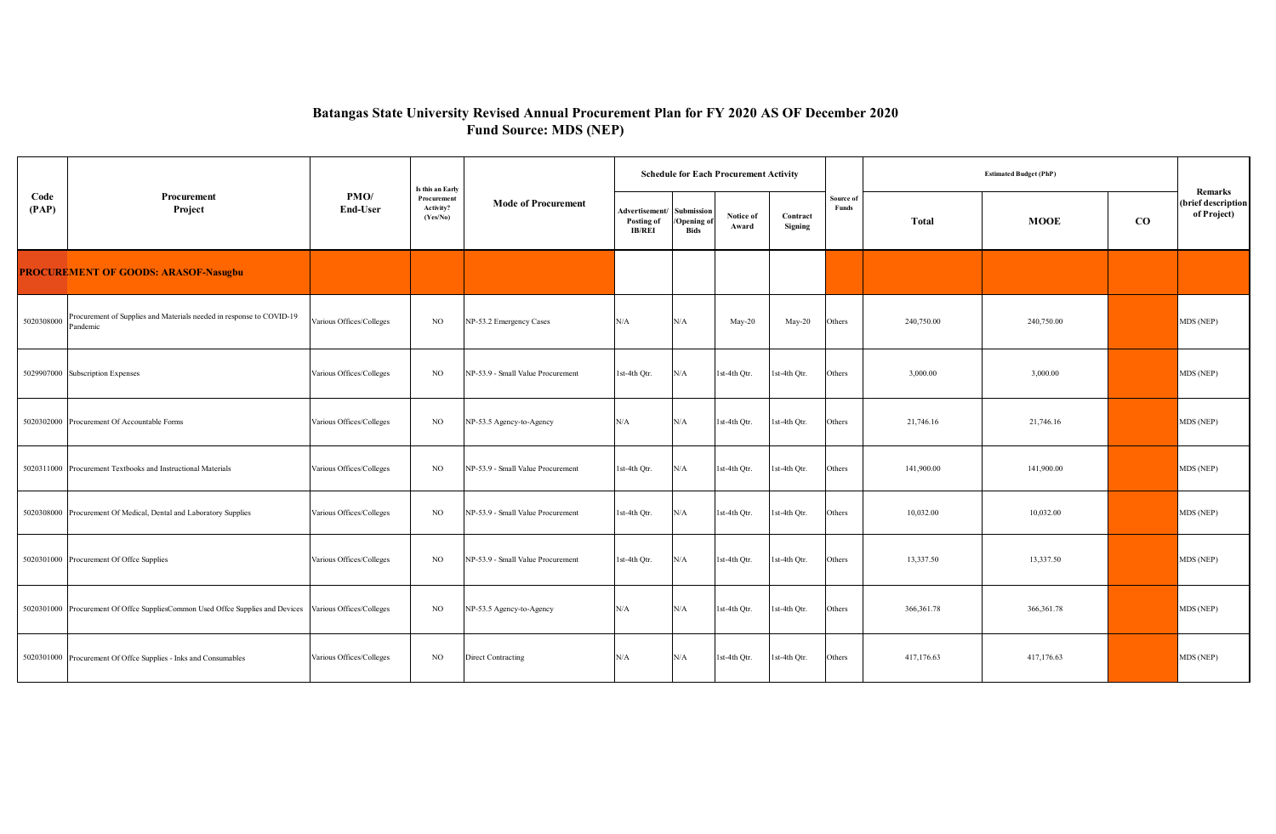## **Batangas State University Revised Annual Procurement Plan for FY 2020 AS OF December 2020 Fund Source: MDS (NEP)**

|               |                                                                                                         |                          | Is this an Early                     |                                   |                                              |                                        | <b>Schedule for Each Procurement Activity</b> |                     |                    |              | <b>Estimated Budget (PhP)</b> |           |                                                     |
|---------------|---------------------------------------------------------------------------------------------------------|--------------------------|--------------------------------------|-----------------------------------|----------------------------------------------|----------------------------------------|-----------------------------------------------|---------------------|--------------------|--------------|-------------------------------|-----------|-----------------------------------------------------|
| Code<br>(PAP) | Procurement<br>Project                                                                                  | PMO/<br>End-User         | Procurement<br>Activity?<br>(Yes/No) | <b>Mode of Procurement</b>        | Advertisement<br>Posting of<br><b>IB/REI</b> | Submission<br>Opening o<br><b>Bids</b> | Notice of<br>Award                            | Contract<br>Signing | Source of<br>Funds | <b>Total</b> | <b>MOOE</b>                   | $\bf{CO}$ | <b>Remarks</b><br>(brief description<br>of Project) |
|               | <b>PROCUREMENT OF GOODS: ARASOF-Nasugbu</b>                                                             |                          |                                      |                                   |                                              |                                        |                                               |                     |                    |              |                               |           |                                                     |
| 5020308000    | Procurement of Supplies and Materials needed in response to COVID-19<br>Pandemic                        | Various Offices/Colleges | NO                                   | NP-53.2 Emergency Cases           | N/A                                          | N/A                                    | $May-20$                                      | $May-20$            | Others             | 240,750.00   | 240,750.00                    |           | MDS (NEP)                                           |
|               | 5029907000 Subscription Expenses                                                                        | Various Offices/Colleges | NO.                                  | NP-53.9 - Small Value Procurement | 1st-4th Otr.                                 | N/A                                    | 1st-4th Otr.                                  | 1st-4th Otr.        | Others             | 3.000.00     | 3,000.00                      |           | MDS (NEP)                                           |
|               | 5020302000 Procurement Of Accountable Forms                                                             | Various Offices/Colleges | NO.                                  | NP-53.5 Agency-to-Agency          | N/A                                          | N/A                                    | 1st-4th Qtr.                                  | 1st-4th Otr.        | Others             | 21,746.16    | 21,746.16                     |           | MDS (NEP)                                           |
|               | 5020311000 Procurement Textbooks and Instructional Materials                                            | Various Offices/Colleges | NO.                                  | NP-53.9 - Small Value Procurement | 1st-4th Qtr.                                 | N/A                                    | 1st-4th Qtr.                                  | 1st-4th Otr.        | Others             | 141,900.00   | 141,900.00                    |           | MDS (NEP)                                           |
|               | 5020308000 Procurement Of Medical, Dental and Laboratory Supplies                                       | Various Offices/Colleges | NO                                   | NP-53.9 - Small Value Procurement | 1st-4th Qtr.                                 | N/A                                    | 1st-4th Qtr.                                  | 1st-4th Otr.        | Others             | 10,032.00    | 10,032.00                     |           | MDS (NEP)                                           |
|               | 5020301000 Procurement Of Offce Supplies                                                                | Various Offices/Colleges | NO.                                  | NP-53.9 - Small Value Procurement | 1st-4th Qtr.                                 | N/A                                    | 1st-4th Qtr.                                  | 1st-4th Qtr.        | Others             | 13,337.50    | 13,337.50                     |           | MDS (NEP)                                           |
|               | 5020301000 Procurement Of Offce SuppliesCommon Used Offce Supplies and Devices Various Offices/Colleges |                          | N <sub>O</sub>                       | NP-53.5 Agency-to-Agency          | N/A                                          | N/A                                    | 1st-4th Qtr.                                  | 1st-4th Otr.        | Others             | 366, 361. 78 | 366, 361. 78                  |           | MDS (NEP)                                           |
|               | 5020301000 Procurement Of Offce Supplies - Inks and Consumables                                         | Various Offices/Colleges | NO.                                  | Direct Contracting                | N/A                                          | N/A                                    | 1st-4th Qtr.                                  | 1st-4th Otr.        | Others             | 417,176.63   | 417,176.63                    |           | MDS (NEP)                                           |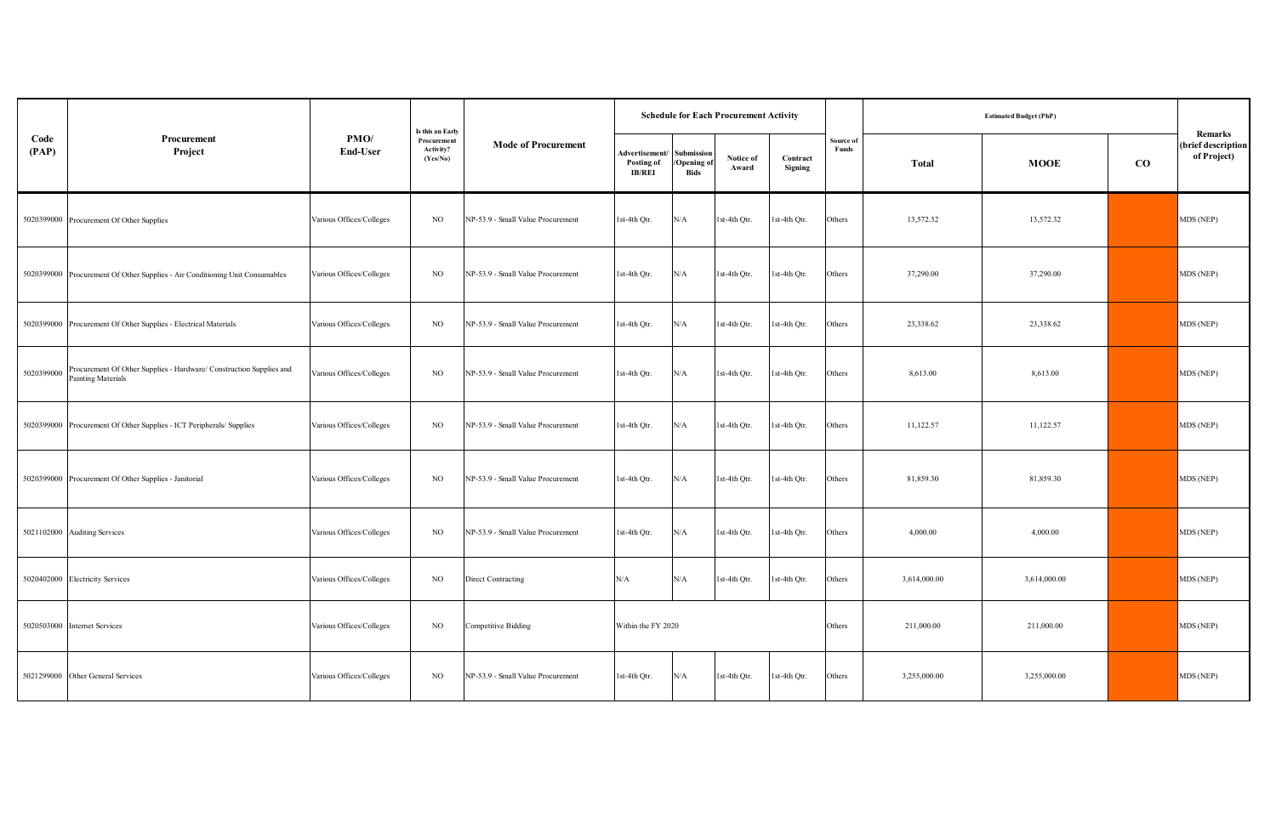|               |                                                                                                  |                          | Is this an Early                     |                                   |                                               |                                              | <b>Schedule for Each Procurement Activity</b> |                     |                    |              | <b>Estimated Budget (PhP)</b> |           |                                                     |
|---------------|--------------------------------------------------------------------------------------------------|--------------------------|--------------------------------------|-----------------------------------|-----------------------------------------------|----------------------------------------------|-----------------------------------------------|---------------------|--------------------|--------------|-------------------------------|-----------|-----------------------------------------------------|
| Code<br>(PAP) | Procurement<br>Project                                                                           | PMO/<br>End-User         | Procurement<br>Activity?<br>(Yes/No) | <b>Mode of Procurement</b>        | Advertisement/<br>Posting of<br><b>IB/REI</b> | <b>Submissio</b><br>Opening o<br><b>Bids</b> | Notice of<br>Award                            | Contract<br>Signing | Source of<br>Funds | Total        | <b>MOOE</b>                   | $\bf{CO}$ | <b>Remarks</b><br>(brief description<br>of Project) |
|               | 5020399000 Procurement Of Other Supplies                                                         | Various Offices/Colleges | NO                                   | NP-53.9 - Small Value Procurement | 1st-4th Qtr.                                  | N/A                                          | st-4th Qtr.                                   | 1st-4th Qtr.        | Others             | 13,572.32    | 13,572.32                     |           | MDS (NEP)                                           |
|               | 5020399000 Procurement Of Other Supplies - Air Conditioning Unit Consumables                     | Various Offices/Colleges | NO                                   | NP-53.9 - Small Value Procurement | 1st-4th Qtr.                                  | N/A                                          | 1st-4th Qtr.                                  | 1st-4th Qtr.        | Others             | 37,290.00    | 37,290.00                     |           | MDS (NEP)                                           |
|               | 5020399000 Procurement Of Other Supplies - Electrical Materials                                  | Various Offices/Colleges | NO                                   | NP-53.9 - Small Value Procurement | 1st-4th Qtr.                                  | N/A                                          | 1st-4th Qtr.                                  | 1st-4th Qtr.        | Others             | 23,338.62    | 23,338.62                     |           | MDS (NEP)                                           |
| 5020399000    | Procurement Of Other Supplies - Hardware/ Construction Supplies and<br><b>Painting Materials</b> | Various Offices/Colleges | NO                                   | NP-53.9 - Small Value Procurement | 1st-4th Qtr.                                  | N/A                                          | st-4th Qtr.                                   | 1st-4th Qtr.        | Others             | 8,613.00     | 8,613.00                      |           | MDS (NEP)                                           |
|               | 5020399000 Procurement Of Other Supplies - ICT Peripherals/ Supplies                             | Various Offices/Colleges | NO                                   | NP-53.9 - Small Value Procurement | 1st-4th Qtr.                                  | $\rm N/A$                                    | 1st-4th Qtr.                                  | 1st-4th Qtr.        | Others             | 11,122.57    | 11,122.57                     |           | MDS (NEP)                                           |
|               | 5020399000 Procurement Of Other Supplies - Janitorial                                            | Various Offices/Colleges | NO                                   | NP-53.9 - Small Value Procurement | 1st-4th Qtr.                                  | N/A                                          | st-4th Qtr.                                   | 1st-4th Qtr.        | Others             | 81,859.30    | 81,859.30                     |           | MDS (NEP)                                           |
|               | 5021102000 Auditing Services                                                                     | Various Offices/Colleges | NO.                                  | NP-53.9 - Small Value Procurement | 1st-4th Qtr.                                  | N/A                                          | st-4th Qtr.                                   | 1st-4th Qtr.        | Others             | 4,000.00     | 4,000.00                      |           | MDS (NEP)                                           |
|               | 5020402000 Electricity Services                                                                  | Various Offices/Colleges | NO                                   | <b>Direct Contracting</b>         | N/A                                           | N/A                                          | 1st-4th Qtr.                                  | 1st-4th Qtr.        | Others             | 3,614,000.00 | 3,614,000.00                  |           | MDS (NEP)                                           |
|               | 5020503000 Internet Services                                                                     | Various Offices/Colleges | NO                                   | <b>Competitive Bidding</b>        | Within the FY 2020                            |                                              |                                               |                     | Others             | 211,000.00   | 211,000.00                    |           | MDS (NEP)                                           |
|               | 5021299000 Other General Services                                                                | Various Offices/Colleges | NO.                                  | NP-53.9 - Small Value Procurement | 1st-4th Qtr.                                  | N/A                                          | 1st-4th Qtr.                                  | 1st-4th Qtr.        | Others             | 3,255,000.00 | 3,255,000.00                  |           | MDS (NEP)                                           |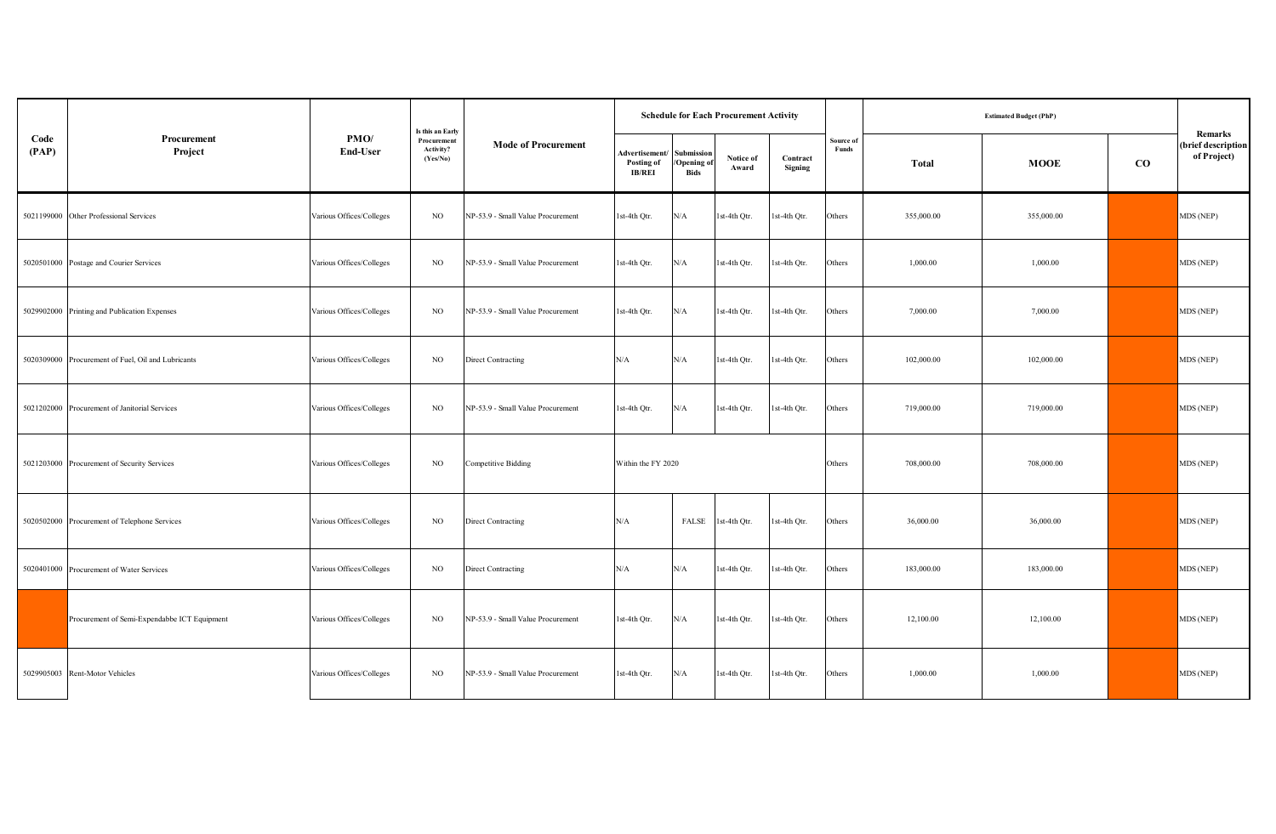|               |                                               |                          | Is this an Early                     |                                   |                                               |                                                | <b>Schedule for Each Procurement Activity</b> |                     |                    |            | <b>Estimated Budget (PhP)</b> |           |                                                     |
|---------------|-----------------------------------------------|--------------------------|--------------------------------------|-----------------------------------|-----------------------------------------------|------------------------------------------------|-----------------------------------------------|---------------------|--------------------|------------|-------------------------------|-----------|-----------------------------------------------------|
| Code<br>(PAP) | Procurement<br>Project                        | PMO/<br><b>End-User</b>  | Procurement<br>Activity?<br>(Yes/No) | <b>Mode of Procurement</b>        | Advertisement/<br>Posting of<br><b>IB/REI</b> | Submission<br><b>Opening</b> of<br><b>Bids</b> | Notice of<br>Award                            | Contract<br>Signing | Source of<br>Funds | Total      | <b>MOOE</b>                   | $\bf{CO}$ | <b>Remarks</b><br>(brief description<br>of Project) |
|               | 5021199000 Other Professional Services        | Various Offices/Colleges | NO                                   | NP-53.9 - Small Value Procurement | 1st-4th Qtr.                                  | N/A                                            | 1st-4th Qtr.                                  | st-4th Qtr.         | Others             | 355,000.00 | 355,000.00                    |           | MDS (NEP)                                           |
|               | 5020501000 Postage and Courier Services       | Various Offices/Colleges | NO                                   | NP-53.9 - Small Value Procurement | 1st-4th Qtr.                                  | N/A                                            | 1st-4th Qtr.                                  | 1st-4th Qtr.        | Others             | 1,000.00   | 1,000.00                      |           | MDS (NEP)                                           |
|               | 5029902000 Printing and Publication Expenses  | Various Offices/Colleges | NO                                   | NP-53.9 - Small Value Procurement | 1st-4th Qtr.                                  | N/A                                            | 1st-4th Qtr.                                  | 1st-4th Qtr.        | Others             | 7,000.00   | 7,000.00                      |           | MDS (NEP)                                           |
| 5020309000    | Procurement of Fuel, Oil and Lubricants       | Various Offices/Colleges | NO                                   | Direct Contracting                | N/A                                           | N/A                                            | 1st-4th Qtr.                                  | 1st-4th Qtr.        | Others             | 102,000.00 | 102,000.00                    |           | MDS (NEP)                                           |
|               | 5021202000 Procurement of Janitorial Services | Various Offices/Colleges | NO                                   | NP-53.9 - Small Value Procurement | 1st-4th Qtr.                                  | N/A                                            | 1st-4th Qtr.                                  | st-4th Qtr.         | Others             | 719,000.00 | 719,000.00                    |           | MDS (NEP)                                           |
|               | 5021203000 Procurement of Security Services   | Various Offices/Colleges | NO                                   | <b>Competitive Bidding</b>        | Within the FY 2020                            |                                                |                                               |                     | Others             | 708,000.00 | 708,000.00                    |           | MDS (NEP)                                           |
|               | 5020502000 Procurement of Telephone Services  | Various Offices/Colleges | NO                                   | <b>Direct Contracting</b>         | N/A                                           | <b>FALSE</b>                                   | 1st-4th Qtr.                                  | st-4th Qtr.         | Others             | 36,000.00  | 36,000.00                     |           | MDS (NEP)                                           |
| 5020401000    | Procurement of Water Services                 | Various Offices/Colleges | NO.                                  | Direct Contracting                | N/A                                           | N/A                                            | 1st-4th Otr.                                  | st-4th Otr.         | Others             | 183,000.00 | 183,000.00                    |           | MDS (NEP)                                           |
|               | Procurement of Semi-Expendabbe ICT Equipment  | Various Offices/Colleges | NO                                   | NP-53.9 - Small Value Procurement | 1st-4th Qtr.                                  | N/A                                            | 1st-4th Qtr.                                  | st-4th Qtr.         | Others             | 12,100.00  | 12,100.00                     |           | MDS (NEP)                                           |
|               | 5029905003 Rent-Motor Vehicles                | Various Offices/Colleges | NO.                                  | NP-53.9 - Small Value Procurement | 1st-4th Qtr.                                  | N/A                                            | 1st-4th Qtr.                                  | 1st-4th Qtr.        | Others             | 1,000.00   | 1,000.00                      |           | MDS (NEP)                                           |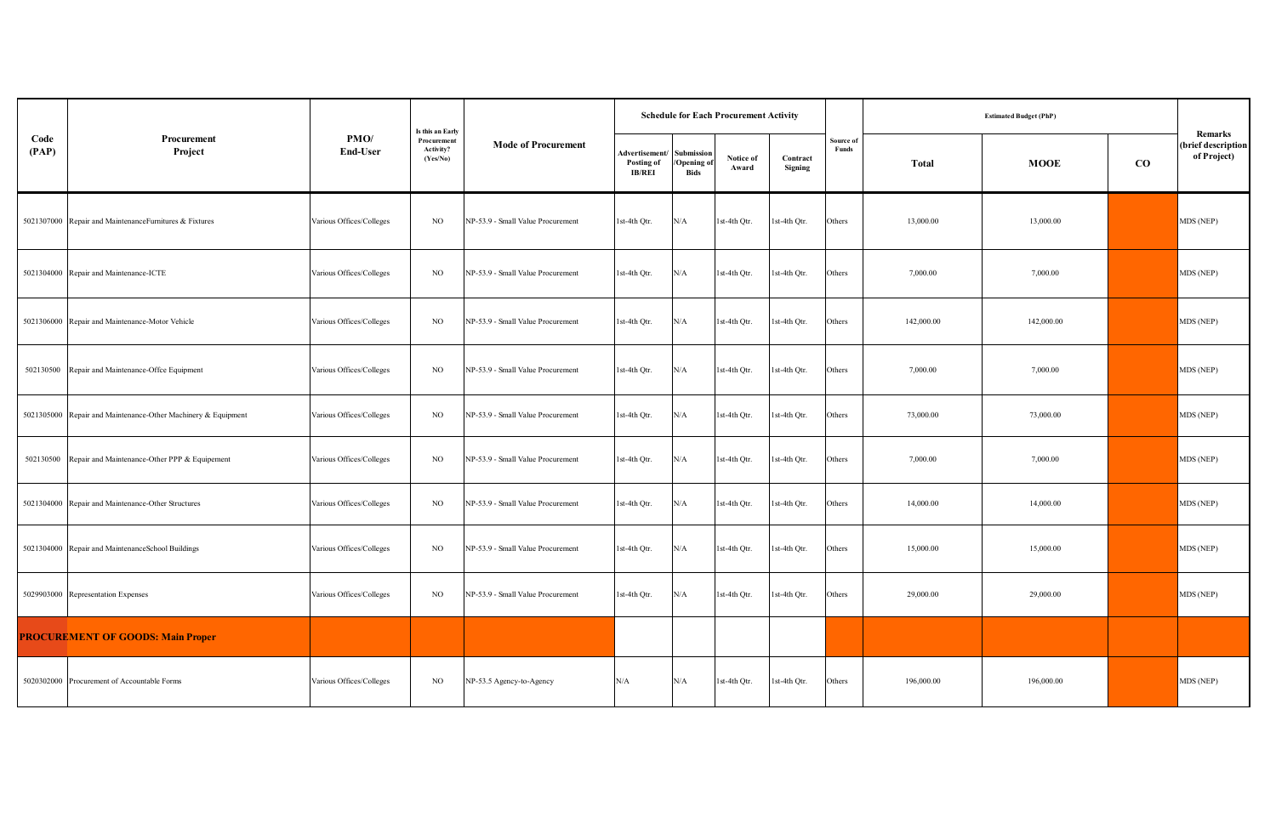|               |                                                               |                          | Is this an Early                     |                                   |                                               |                                        | <b>Schedule for Each Procurement Activity</b> |                     |                    |              | <b>Estimated Budget (PhP)</b> |               |                                                     |
|---------------|---------------------------------------------------------------|--------------------------|--------------------------------------|-----------------------------------|-----------------------------------------------|----------------------------------------|-----------------------------------------------|---------------------|--------------------|--------------|-------------------------------|---------------|-----------------------------------------------------|
| Code<br>(PAP) | Procurement<br>Project                                        | PMO/<br><b>End-User</b>  | Procurement<br>Activity?<br>(Yes/No) | <b>Mode of Procurement</b>        | Advertisement/<br>Posting of<br><b>IB/REI</b> | Submission<br>Opening o<br><b>Bids</b> | Notice of<br>Award                            | Contract<br>Signing | Source of<br>Funds | <b>Total</b> | <b>MOOE</b>                   | $\mathbf{CO}$ | <b>Remarks</b><br>(brief description<br>of Project) |
|               | 5021307000 Repair and MaintenanceFurnitures & Fixtures        | Various Offices/Colleges | NO.                                  | NP-53.9 - Small Value Procurement | 1st-4th Otr.                                  | N/A                                    | 1st-4th Otr.                                  | 1st-4th Otr.        | Others             | 13,000.00    | 13.000.00                     |               | MDS (NEP)                                           |
|               | 5021304000 Repair and Maintenance-ICTE                        | Various Offices/Colleges | NO                                   | NP-53.9 - Small Value Procurement | 1st-4th Qtr.                                  | N/A                                    | 1st-4th Qtr.                                  | 1st-4th Qtr.        | Others             | 7,000.00     | 7,000.00                      |               | MDS (NEP)                                           |
|               | 5021306000 Repair and Maintenance-Motor Vehicle               | Various Offices/Colleges | NO                                   | NP-53.9 - Small Value Procurement | 1st-4th Qtr.                                  | N/A                                    | 1st-4th Qtr.                                  | 1st-4th Qtr.        | Others             | 142,000.00   | 142,000.00                    |               | MDS (NEP)                                           |
|               | 502130500 Repair and Maintenance-Offce Equipment              | Various Offices/Colleges | NO.                                  | NP-53.9 - Small Value Procurement | 1st-4th Qtr.                                  | N/A                                    | 1st-4th Qtr.                                  | 1st-4th Qtr.        | Others             | 7,000.00     | 7,000.00                      |               | MDS (NEP)                                           |
|               | 5021305000 Repair and Maintenance-Other Machinery & Equipment | Various Offices/Colleges | NO.                                  | NP-53.9 - Small Value Procurement | st-4th Otr.                                   | N/A                                    | 1st-4th Qtr.                                  | 1st-4th Qtr.        | Others             | 73,000.00    | 73,000.00                     |               | MDS (NEP)                                           |
|               | 502130500 Repair and Maintenance-Other PPP & Equipement       | Various Offices/Colleges | NO.                                  | NP-53.9 - Small Value Procurement | st-4th Otr.                                   | N/A                                    | 1st-4th Otr.                                  | 1st-4th Otr.        | Others             | 7,000.00     | 7,000.00                      |               | MDS (NEP)                                           |
|               | 5021304000 Repair and Maintenance-Other Structures            | Various Offices/Colleges | NO.                                  | NP-53.9 - Small Value Procurement | st-4th Qtr.                                   | N/A                                    | 1st-4th Qtr.                                  | 1st-4th Qtr.        | Others             | 14,000.00    | 14,000.00                     |               | MDS (NEP)                                           |
|               | 5021304000 Repair and MaintenanceSchool Buildings             | Various Offices/Colleges | NO.                                  | NP-53.9 - Small Value Procurement | 1st-4th Qtr.                                  | N/A                                    | 1st-4th Qtr.                                  | 1st-4th Qtr.        | Others             | 15,000.00    | 15,000.00                     |               | MDS (NEP)                                           |
|               | 5029903000 Representation Expenses                            | Various Offices/Colleges | NO.                                  | NP-53.9 - Small Value Procurement | st-4th Qtr.                                   | N/A                                    | 1st-4th Qtr.                                  | 1st-4th Qtr.        | Others             | 29,000.00    | 29,000.00                     |               | MDS (NEP)                                           |
|               | <b>PROCUREMENT OF GOODS: Main Proper</b>                      |                          |                                      |                                   |                                               |                                        |                                               |                     |                    |              |                               |               |                                                     |
|               | 5020302000 Procurement of Accountable Forms                   | Various Offices/Colleges | NO                                   | NP-53.5 Agency-to-Agency          | N/A                                           | N/A                                    | 1st-4th Qtr.                                  | 1st-4th Qtr.        | Others             | 196,000.00   | 196,000.00                    |               | MDS (NEP)                                           |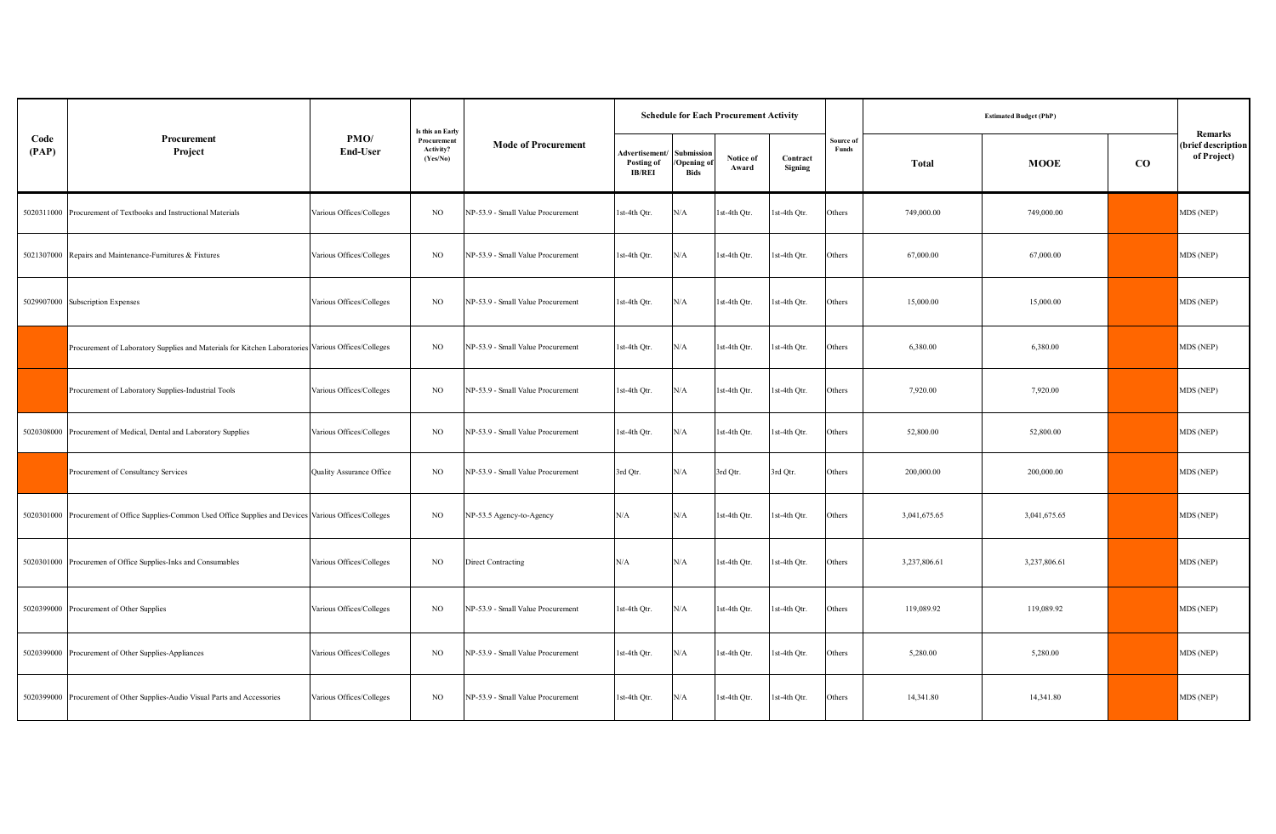|               |                                                                                                            |                          | Is this an Early                     |                                   |                                               |                                         | <b>Schedule for Each Procurement Activity</b> |                     |                    |              | <b>Estimated Budget (PhP)</b> |           |                                                     |
|---------------|------------------------------------------------------------------------------------------------------------|--------------------------|--------------------------------------|-----------------------------------|-----------------------------------------------|-----------------------------------------|-----------------------------------------------|---------------------|--------------------|--------------|-------------------------------|-----------|-----------------------------------------------------|
| Code<br>(PAP) | Procurement<br>Project                                                                                     | PMO/<br>End-User         | Procurement<br>Activity?<br>(Yes/No) | <b>Mode of Procurement</b>        | Advertisement/<br>Posting of<br><b>IB/REI</b> | Submission<br>/Opening o<br><b>Bids</b> | Notice of<br>Award                            | Contract<br>Signing | Source of<br>Funds | Total        | <b>MOOE</b>                   | $\rm{CO}$ | <b>Remarks</b><br>(brief description<br>of Project) |
|               | 5020311000 Procurement of Textbooks and Instructional Materials                                            | Various Offices/Colleges | NO                                   | NP-53.9 - Small Value Procurement | st-4th Qtr.                                   | N/A                                     | 1st-4th Qtr.                                  | st-4th Otr.         | thers              | 749,000.00   | 749,000.00                    |           | MDS (NEP)                                           |
|               | 5021307000 Repairs and Maintenance-Furnitures & Fixtures                                                   | Various Offices/Colleges | NO.                                  | NP-53.9 - Small Value Procurement | Ist-4th Qtr.                                  | N/A                                     | 1st-4th Qtr.                                  | st-4th Qtr.         | <b>Others</b>      | 67,000.00    | 67,000.00                     |           | MDS (NEP)                                           |
|               | 5029907000 Subscription Expenses                                                                           | Various Offices/Colleges | NO                                   | NP-53.9 - Small Value Procurement | st-4th Otr.                                   | N/A                                     | 1st-4th Otr.                                  | st-4th Qtr.         | Others             | 15,000.00    | 15,000.00                     |           | MDS (NEP)                                           |
|               | Procurement of Laboratory Supplies and Materials for Kitchen Laboratories Various Offices/Colleges         |                          | NO.                                  | NP-53.9 - Small Value Procurement | st-4th Otr.                                   | N/A                                     | st-4th Qtr.                                   | 1st-4th Qtr.        | <b>Others</b>      | 6,380.00     | 6,380.00                      |           | MDS (NEP)                                           |
|               | Procurement of Laboratory Supplies-Industrial Tools                                                        | Various Offices/Colleges | NO.                                  | NP-53.9 - Small Value Procurement | st-4th Qtr.                                   | N/A                                     | 1st-4th Qtr.                                  | st-4th Qtr.         | <b>Others</b>      | 7,920.00     | 7,920.00                      |           | MDS (NEP)                                           |
|               | 5020308000 Procurement of Medical, Dental and Laboratory Supplies                                          | Various Offices/Colleges | NO                                   | NP-53.9 - Small Value Procurement | st-4th Qtr.                                   | N/A                                     | 1st-4th Qtr.                                  | st-4th Qtr.         | <b>Others</b>      | 52,800.00    | 52,800.00                     |           | MDS (NEP)                                           |
|               | Procurement of Consultancy Services                                                                        | Quality Assurance Office | NO.                                  | NP-53.9 - Small Value Procurement | 3rd Qtr.                                      | N/A                                     | 3rd Qtr.                                      | 3rd Qtr.            | Others             | 200,000.00   | 200,000.00                    |           | MDS (NEP)                                           |
|               | 5020301000 Procurement of Office Supplies-Common Used Office Supplies and Devices Various Offices/Colleges |                          | NO                                   | NP-53.5 Agency-to-Agency          | N/A                                           | N/A                                     | 1st-4th Qtr.                                  | st-4th Qtr.         | Others             | 3,041,675.65 | 3,041,675.65                  |           | MDS (NEP)                                           |
|               | 5020301000 Procuremen of Office Supplies-Inks and Consumables                                              | Various Offices/Colleges | NO.                                  | Direct Contracting                | N/A                                           | N/A                                     | 1st-4th Qtr.                                  | 1st-4th Qtr.        | Others             | 3,237,806.61 | 3,237,806.61                  |           | MDS (NEP)                                           |
|               | 5020399000 Procurement of Other Supplies                                                                   | Various Offices/Colleges | NO.                                  | NP-53.9 - Small Value Procurement | st-4th Qtr.                                   | N/A                                     | 1st-4th Qtr.                                  | st-4th Qtr.         | Others             | 119,089.92   | 119,089.92                    |           | MDS (NEP)                                           |
|               | 5020399000 Procurement of Other Supplies-Appliances                                                        | Various Offices/Colleges | NO                                   | NP-53.9 - Small Value Procurement | st-4th Qtr.                                   | N/A                                     | 1st-4th Qtr.                                  | st-4th Qtr.         | <b>Others</b>      | 5,280.00     | 5,280.00                      |           | MDS (NEP)                                           |
|               | 5020399000 Procurement of Other Supplies-Audio Visual Parts and Accessories                                | Various Offices/Colleges | NO                                   | NP-53.9 - Small Value Procurement | Ist-4th Qtr.                                  | N/A                                     | 1st-4th Qtr.                                  | st-4th Qtr.         | <b>Others</b>      | 14,341.80    | 14,341.80                     |           | MDS (NEP)                                           |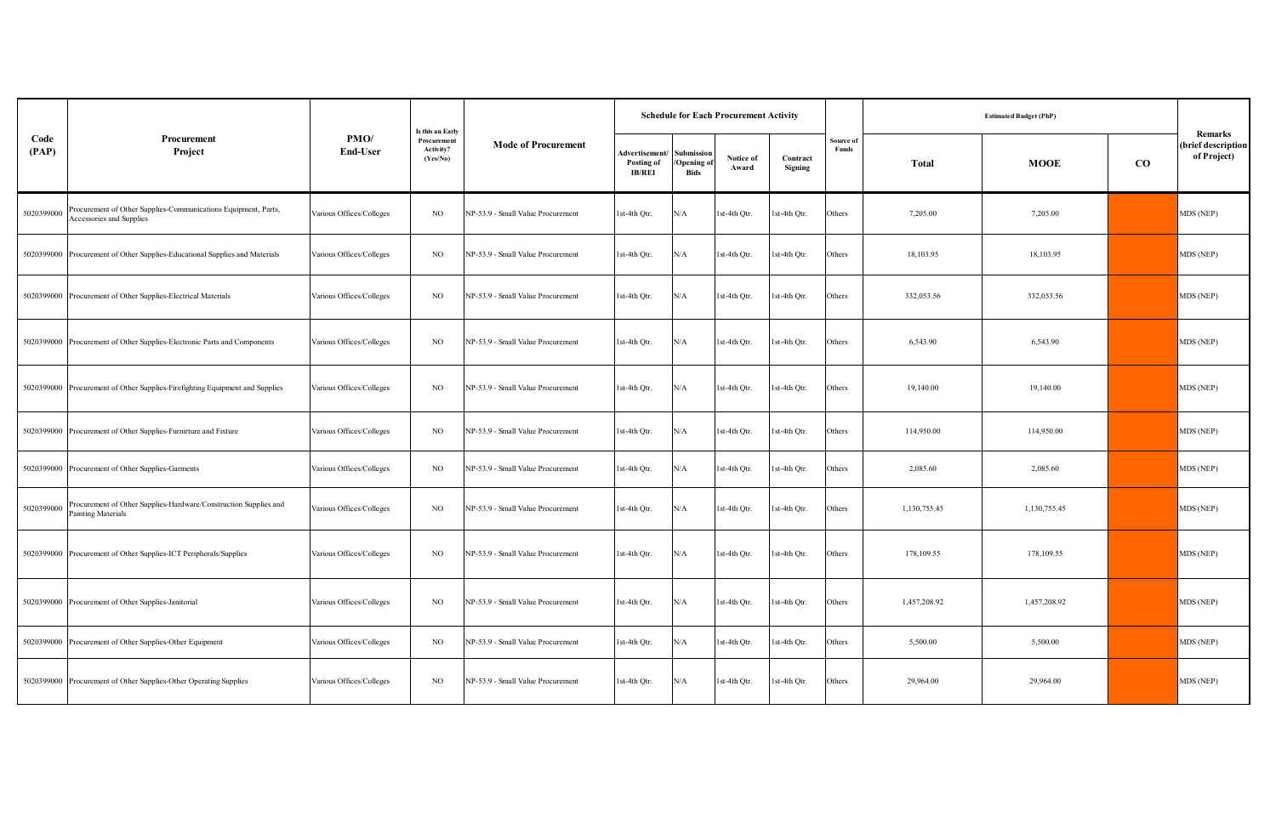|               |                                                                                               |                          | Is this an Early                     |                                   |                                              |                                               | <b>Schedule for Each Procurement Activity</b> |                     |                    |              | <b>Estimated Budget (PhP)</b> |           |                                                     |
|---------------|-----------------------------------------------------------------------------------------------|--------------------------|--------------------------------------|-----------------------------------|----------------------------------------------|-----------------------------------------------|-----------------------------------------------|---------------------|--------------------|--------------|-------------------------------|-----------|-----------------------------------------------------|
| Code<br>(PAP) | Procurement<br>Project                                                                        | PMO/<br>End-User         | Procurement<br>Activity?<br>(Yes/No) | <b>Mode of Procurement</b>        | Advertisement<br>Posting of<br><b>IB/REI</b> | Submission<br><b>Opening</b> o<br><b>Bids</b> | Notice of<br>Award                            | Contract<br>Signing | Source of<br>Funds | <b>Total</b> | <b>MOOE</b>                   | $\rm{CO}$ | <b>Remarks</b><br>(brief description<br>of Project) |
| 5020399000    | Procurement of Other Supplies-Communications Equipment, Parts,<br>Accessories and Supplies    | Various Offices/Colleges | NO                                   | NP-53.9 - Small Value Procurement | st-4th Qtr.                                  | N/A                                           | 1st-4th Qtr.                                  | st-4th Qtr.         | Others             | 7,205.00     | 7,205.00                      |           | MDS (NEP)                                           |
|               | 5020399000 Procurement of Other Supplies-Educational Supplies and Materials                   | Various Offices/Colleges | NO                                   | NP-53.9 - Small Value Procurement | st-4th Qtr.                                  | N/A                                           | 1st-4th Qtr.                                  | 1st-4th Qtr.        | <b>Others</b>      | 18,103.95    | 18,103.95                     |           | MDS (NEP)                                           |
|               | 5020399000 Procurement of Other Supplies-Electrical Materials                                 | Various Offices/Colleges | NO                                   | NP-53.9 - Small Value Procurement | st-4th Qtr.                                  | N/A                                           | 1st-4th Otr.                                  | st-4th Qtr.         | Others             | 332,053.56   | 332,053.56                    |           | MDS (NEP)                                           |
|               | 5020399000 Procurement of Other Supplies-Electronic Parts and Components                      | Various Offices/Colleges | NO                                   | NP-53.9 - Small Value Procurement | st-4th Otr.                                  | N/A                                           | 1st-4th Otr.                                  | st-4th Otr.         | <b>Others</b>      | 6,543.90     | 6,543.90                      |           | MDS (NEP)                                           |
|               | 5020399000 Procurement of Other Supplies-Firefighting Equipment and Supplies                  | Various Offices/Colleges | NO                                   | NP-53.9 - Small Value Procurement | st-4th Qtr.                                  | N/A                                           | 1st-4th Qtr.                                  | st-4th Qtr.         | Others             | 19,140.00    | 19,140.00                     |           | MDS (NEP)                                           |
|               | 5020399000 Procurement of Other Supplies-Furnirture and Fixture                               | Various Offices/Colleges | NO.                                  | NP-53.9 - Small Value Procurement | st-4th Otr.                                  | N/A                                           | 1st-4th Qtr.                                  | st-4th Qtr.         | <b>Others</b>      | 114,950.00   | 114,950.00                    |           | MDS (NEP)                                           |
|               | 5020399000 Procurement of Other Supplies-Garments                                             | Various Offices/Colleges | NO.                                  | NP-53.9 - Small Value Procurement | st-4th Qtr.                                  | N/A                                           | 1st-4th Qtr.                                  | 1st-4th Qtr.        | <b>Others</b>      | 2,085.60     | 2,085.60                      |           | MDS (NEP)                                           |
| 5020399000    | Procurement of Other Supplies-Hardware/Construction Supplies and<br><b>Painting Materials</b> | Various Offices/Colleges | NO.                                  | NP-53.9 - Small Value Procurement | st-4th Qtr.                                  | N/A                                           | 1st-4th Qtr.                                  | st-4th Qtr.         | Others             | 1,130,755.45 | 1,130,755.45                  |           | MDS (NEP)                                           |
|               | 5020399000 Procurement of Other Supplies-ICT Peripherals/Supplies                             | Various Offices/Colleges | NO.                                  | NP-53.9 - Small Value Procurement | st-4th Qtr.                                  | N/A                                           | st-4th Qtr.                                   | st-4th Qtr.         | Others             | 178,109.55   | 178,109.55                    |           | MDS (NEP)                                           |
|               | 5020399000 Procurement of Other Supplies-Janitorial                                           | Various Offices/Colleges | NO.                                  | NP-53.9 - Small Value Procurement | st-4th Otr.                                  | N/A                                           | st-4th Otr.                                   | st-4th Qtr.         | Others             | 1,457,208.92 | 1,457,208.92                  |           | MDS (NEP)                                           |
|               | 5020399000 Procurement of Other Supplies-Other Equipment                                      | Various Offices/Colleges | NO.                                  | NP-53.9 - Small Value Procurement | st-4th Otr.                                  | N/A                                           | 1st-4th Otr.                                  | st-4th Otr.         | <b>Others</b>      | 5,500.00     | 5,500.00                      |           | MDS (NEP)                                           |
|               | 5020399000 Procurement of Other Supplies-Other Operating Supplies                             | Various Offices/Colleges | NO                                   | NP-53.9 - Small Value Procurement | st-4th Qtr.                                  | N/A                                           | st-4th Qtr.                                   | st-4th Qtr.         | <b>Others</b>      | 29,964.00    | 29,964.00                     |           | MDS (NEP)                                           |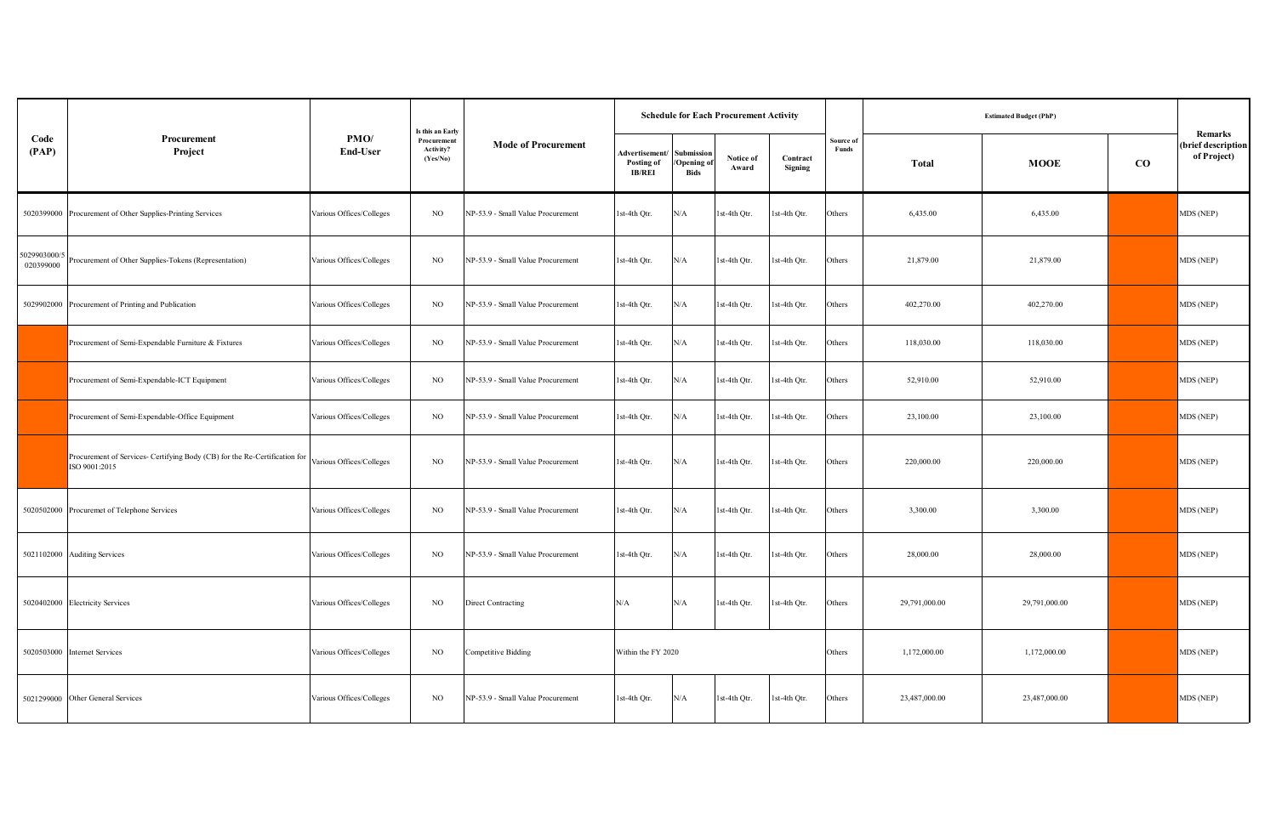|                           |                                                                                             |                          | Is this an Early                     |                                   |                                                      |                                         | <b>Schedule for Each Procurement Activity</b> |                     |                    |               | <b>Estimated Budget (PhP)</b> |           |                                                      |
|---------------------------|---------------------------------------------------------------------------------------------|--------------------------|--------------------------------------|-----------------------------------|------------------------------------------------------|-----------------------------------------|-----------------------------------------------|---------------------|--------------------|---------------|-------------------------------|-----------|------------------------------------------------------|
| Code<br>(PAP)             | Procurement<br>Project                                                                      | PMO/<br>End-User         | Procurement<br>Activity?<br>(Yes/No) | <b>Mode of Procurement</b>        | Advertisement/<br><b>Posting of</b><br><b>IB/REI</b> | Submission<br>/Opening o<br><b>Bids</b> | Notice of<br>Award                            | Contract<br>Signing | Source of<br>Funds | Total         | <b>MOOE</b>                   | $\bf{CO}$ | <b>Remarks</b><br>(brief description)<br>of Project) |
|                           | 5020399000 Procurement of Other Supplies-Printing Services                                  | Various Offices/Colleges | NO                                   | NP-53.9 - Small Value Procurement | st-4th Qtr.                                          | N/A                                     | 1st-4th Qtr.                                  | st-4th Qtr.         | <b>Others</b>      | 6,435.00      | 6,435.00                      |           | MDS (NEP)                                            |
| 5029903000/5<br>020399000 | Procurement of Other Supplies-Tokens (Representation)                                       | Various Offices/Colleges | NO.                                  | NP-53.9 - Small Value Procurement | st-4th Qtr.                                          | N/A                                     | 1st-4th Qtr.                                  | 1st-4th Qtr.        | Others             | 21,879.00     | 21,879.00                     |           | MDS (NEP)                                            |
|                           | 5029902000 Procurement of Printing and Publication                                          | Various Offices/Colleges | NO                                   | NP-53.9 - Small Value Procurement | 1st-4th Qtr.                                         | N/A                                     | 1st-4th Qtr.                                  | 1st-4th Qtr.        | Others             | 402,270.00    | 402,270.00                    |           | MDS (NEP)                                            |
|                           | Procurement of Semi-Expendable Furniture & Fixtures                                         | Various Offices/Colleges | NO.                                  | NP-53.9 - Small Value Procurement | st-4th Qtr.                                          | N/A                                     | 1st-4th Qtr.                                  | 1st-4th Qtr.        | <b>Others</b>      | 118,030.00    | 118,030.00                    |           | MDS (NEP)                                            |
|                           | Procurement of Semi-Expendable-ICT Equipment                                                | Various Offices/Colleges | NO                                   | NP-53.9 - Small Value Procurement | st-4th Qtr.                                          | N/A                                     | 1st-4th Qtr.                                  | 1st-4th Qtr.        | Others             | 52,910.00     | 52,910.00                     |           | MDS (NEP)                                            |
|                           | Procurement of Semi-Expendable-Office Equipment                                             | Various Offices/Colleges | NO                                   | NP-53.9 - Small Value Procurement | st-4th Otr.                                          | N/A                                     | 1st-4th Otr.                                  | st-4th Otr.         | <b>Others</b>      | 23,100.00     | 23,100.00                     |           | MDS (NEP)                                            |
|                           | Procurement of Services- Certifying Body (CB) for the Re-Certification for<br>ISO 9001:2015 | Various Offices/Colleges | NO.                                  | NP-53.9 - Small Value Procurement | st-4th Qtr.                                          | N/A                                     | 1st-4th Otr.                                  | 1st-4th Qtr.        | Others             | 220,000.00    | 220,000.00                    |           | MDS (NEP)                                            |
|                           | 5020502000 Procuremet of Telephone Services                                                 | Various Offices/Colleges | NO.                                  | NP-53.9 - Small Value Procurement | st-4th Otr.                                          | N/A                                     | 1st-4th Qtr.                                  | 1st-4th Otr.        | thers              | 3,300.00      | 3,300.00                      |           | MDS (NEP)                                            |
|                           | 5021102000 Auditing Services                                                                | Various Offices/Colleges | NO.                                  | NP-53.9 - Small Value Procurement | st-4th Qtr.                                          | N/A                                     | 1st-4th Otr.                                  | st-4th Qtr.         | Others             | 28,000.00     | 28,000.00                     |           | MDS (NEP)                                            |
|                           | 5020402000 Electricity Services                                                             | Various Offices/Colleges | NO.                                  | <b>Direct Contracting</b>         | N/A                                                  | N/A                                     | 1st-4th Otr.                                  | 1st-4th Qtr.        | Others             | 29,791,000.00 | 29,791,000.00                 |           | MDS (NEP)                                            |
|                           | 5020503000 Internet Services                                                                | Various Offices/Colleges | NO                                   | Competitive Bidding               | Within the FY 2020                                   |                                         |                                               |                     | Others             | 1,172,000.00  | 1,172,000.00                  |           | MDS (NEP)                                            |
|                           | 5021299000 Other General Services                                                           | Various Offices/Colleges | NO                                   | NP-53.9 - Small Value Procurement | st-4th Qtr.                                          | N/A                                     | st-4th Qtr.                                   | st-4th Qtr.         | Others             | 23,487,000.00 | 23,487,000.00                 |           | MDS (NEP)                                            |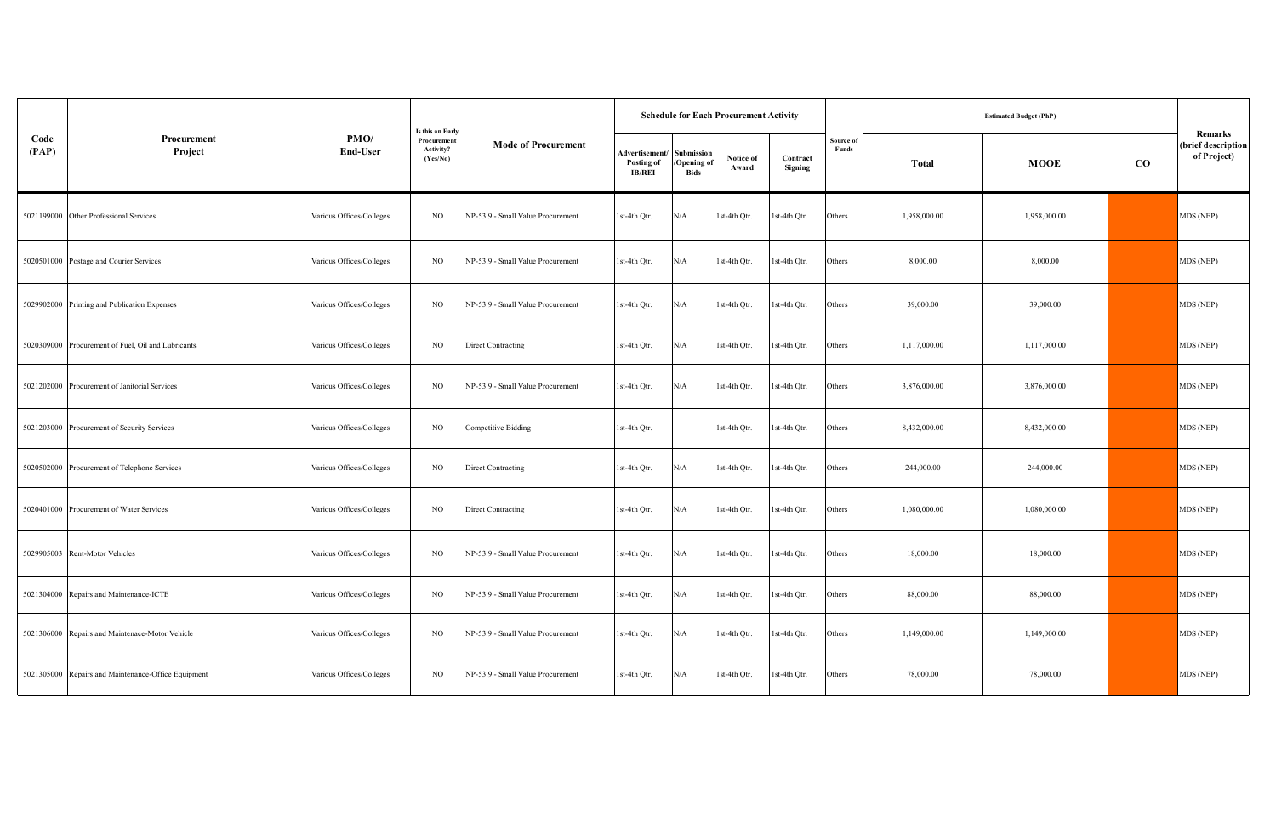|               |                                                     |                          | Is this an Early                     |                                   |                                                      |                                       | <b>Schedule for Each Procurement Activity</b> |                     |                    |              | <b>Estimated Budget (PhP)</b> |          |                                                     |
|---------------|-----------------------------------------------------|--------------------------|--------------------------------------|-----------------------------------|------------------------------------------------------|---------------------------------------|-----------------------------------------------|---------------------|--------------------|--------------|-------------------------------|----------|-----------------------------------------------------|
| Code<br>(PAP) | Procurement<br>Project                              | PMO/<br>End-User         | Procurement<br>Activity?<br>(Yes/No) | <b>Mode of Procurement</b>        | Advertisement/<br><b>Posting of</b><br><b>IB/REI</b> | Submissio<br>Opening o<br><b>Bids</b> | Notice of<br>Award                            | Contract<br>Signing | Source of<br>Funds | Total        | <b>MOOE</b>                   | $\bf CO$ | <b>Remarks</b><br>(brief description<br>of Project) |
|               | 5021199000 Other Professional Services              | Various Offices/Colleges | NO.                                  | NP-53.9 - Small Value Procurement | 1st-4th Qtr.                                         | N/A                                   | st-4th Qtr.                                   | 1st-4th Qtr.        | Others             | 1,958,000.00 | 1,958,000.00                  |          | MDS (NEP)                                           |
|               | 5020501000 Postage and Courier Services             | Various Offices/Colleges | NO                                   | NP-53.9 - Small Value Procurement | st-4th Qtr.                                          | $\rm N/A$                             | 1st-4th Qtr.                                  | 1st-4th Qtr.        | Others             | 8,000.00     | 8,000.00                      |          | MDS (NEP)                                           |
|               | 5029902000 Printing and Publication Expenses        | Various Offices/Colleges | NO.                                  | NP-53.9 - Small Value Procurement | 1st-4th Qtr.                                         | $\rm N/A$                             | lst-4th Qtr.                                  | 1st-4th Qtr.        | Others             | 39,000.00    | 39,000.00                     |          | MDS (NEP)                                           |
|               | 5020309000 Procurement of Fuel, Oil and Lubricants  | Various Offices/Colleges | NO                                   | Direct Contracting                | 1st-4th Qtr.                                         | N/A                                   | st-4th Qtr.                                   | 1st-4th Qtr.        | Others             | 1,117,000.00 | 1,117,000.00                  |          | MDS (NEP)                                           |
|               | 5021202000 Procurement of Janitorial Services       | Various Offices/Colleges | NO.                                  | NP-53.9 - Small Value Procurement | st-4th Qtr.                                          | N/A                                   | st-4th Qtr.                                   | 1st-4th Qtr.        | Others             | 3,876,000.00 | 3,876,000.00                  |          | MDS (NEP)                                           |
|               | 5021203000 Procurement of Security Services         | Various Offices/Colleges | NO.                                  | Competitive Bidding               | 1st-4th Qtr.                                         |                                       | st-4th Qtr.                                   | 1st-4th Qtr.        | Others             | 8,432,000.00 | 8,432,000.00                  |          | MDS (NEP)                                           |
|               | 5020502000 Procurement of Telephone Services        | Various Offices/Colleges | NO                                   | <b>Direct Contracting</b>         | 1st-4th Qtr.                                         | N/A                                   | 1st-4th Qtr.                                  | 1st-4th Qtr.        | Others             | 244,000.00   | 244,000.00                    |          | MDS (NEP)                                           |
|               | 5020401000 Procurement of Water Services            | Various Offices/Colleges | NO.                                  | Direct Contracting                | 1st-4th Qtr.                                         | N/A                                   | 1st-4th Qtr.                                  | 1st-4th Qtr.        | Others             | 1,080,000.00 | 1,080,000.00                  |          | MDS (NEP)                                           |
|               | 5029905003 Rent-Motor Vehicles                      | Various Offices/Colleges | NO.                                  | NP-53.9 - Small Value Procurement | 1st-4th Qtr.                                         | N/A                                   | st-4th Qtr.                                   | 1st-4th Qtr.        | Others             | 18,000.00    | 18,000.00                     |          | MDS (NEP)                                           |
|               | 5021304000 Repairs and Maintenance-ICTE             | Various Offices/Colleges | NO.                                  | NP-53.9 - Small Value Procurement | st-4th Qtr.                                          | N/A                                   | st-4th Qtr.                                   | 1st-4th Qtr.        | Others             | 88,000.00    | 88,000.00                     |          | MDS (NEP)                                           |
|               | 5021306000 Repairs and Maintenace-Motor Vehicle     | Various Offices/Colleges | NO                                   | NP-53.9 - Small Value Procurement | st-4th Qtr.                                          | N/A                                   | st-4th Qtr.                                   | 1st-4th Qtr.        | Others             | 1,149,000.00 | 1,149,000.00                  |          | MDS (NEP)                                           |
|               | 5021305000 Repairs and Maintenance-Office Equipment | Various Offices/Colleges | NO.                                  | NP-53.9 - Small Value Procurement | 1st-4th Qtr.                                         | N/A                                   | st-4th Qtr.                                   | 1st-4th Qtr.        | Others             | 78,000.00    | 78,000.00                     |          | MDS (NEP)                                           |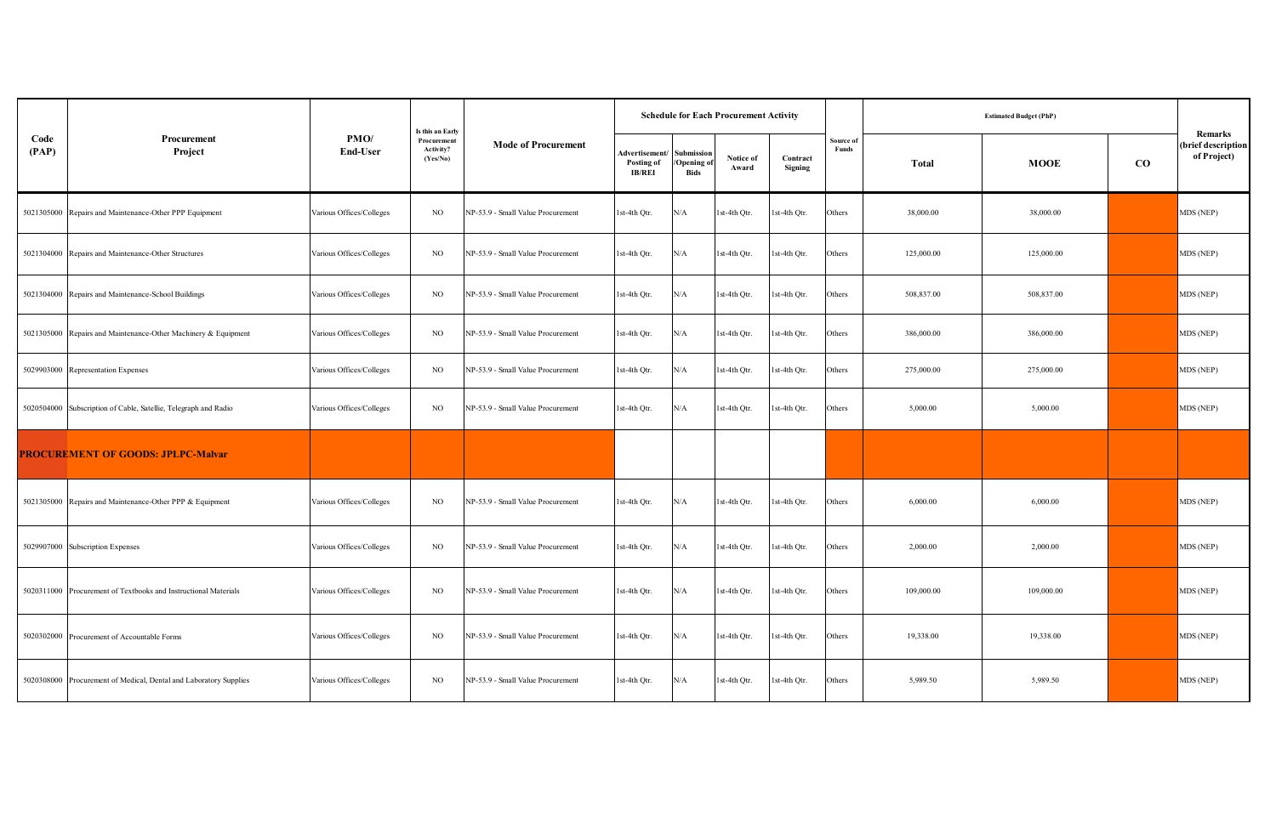|               |                                                                   |                          | Is this an Early                     |                                   |                                                      |                                              | <b>Schedule for Each Procurement Activity</b> |                     |                    |            | <b>Estimated Budget (PhP)</b> |           |                                                     |
|---------------|-------------------------------------------------------------------|--------------------------|--------------------------------------|-----------------------------------|------------------------------------------------------|----------------------------------------------|-----------------------------------------------|---------------------|--------------------|------------|-------------------------------|-----------|-----------------------------------------------------|
| Code<br>(PAP) | Procurement<br>Project                                            | PMO/<br>End-User         | Procurement<br>Activity?<br>(Yes/No) | <b>Mode of Procurement</b>        | Advertisement/<br><b>Posting of</b><br><b>IB/REI</b> | <b>Submissio</b><br>Opening o<br><b>Bids</b> | Notice of<br>Award                            | Contract<br>Signing | Source of<br>Funds | Total      | <b>MOOE</b>                   | $\bf{CO}$ | <b>Remarks</b><br>(brief description<br>of Project) |
|               | 5021305000 Repairs and Maintenance-Other PPP Equipment            | Various Offices/Colleges | NO                                   | NP-53.9 - Small Value Procurement | st-4th Qtr.                                          | $\rm N/A$                                    | st-4th Qtr.                                   | 1st-4th Qtr.        | Others             | 38,000.00  | 38,000.00                     |           | MDS (NEP)                                           |
|               | 5021304000 Repairs and Maintenance-Other Structures               | Various Offices/Colleges | NO                                   | NP-53.9 - Small Value Procurement | st-4th Qtr.                                          | N/A                                          | st-4th Qtr.                                   | 1st-4th Qtr.        | Others             | 125,000.00 | 125,000.00                    |           | MDS (NEP)                                           |
|               | 5021304000 Repairs and Maintenance-School Buildings               | Various Offices/Colleges | NO                                   | NP-53.9 - Small Value Procurement | st-4th Qtr.                                          | $\rm N/A$                                    | st-4th Qtr.                                   | 1st-4th Qtr.        | Others             | 508,837.00 | 508,837.00                    |           | MDS (NEP)                                           |
|               | 5021305000 Repairs and Maintenance-Other Machinery & Equipment    | Various Offices/Colleges | NO                                   | NP-53.9 - Small Value Procurement | st-4th Qtr.                                          | N/A                                          | st-4th Qtr.                                   | 1st-4th Qtr.        | Others             | 386,000.00 | 386,000.00                    |           | MDS (NEP)                                           |
|               | 5029903000 Representation Expenses                                | Various Offices/Colleges | NO                                   | NP-53.9 - Small Value Procurement | 1st-4th Qtr.                                         | N/A                                          | st-4th Qtr.                                   | 1st-4th Qtr.        | Others             | 275,000.00 | 275,000.00                    |           | MDS (NEP)                                           |
|               | 5020504000 Subscription of Cable, Satellie, Telegraph and Radio   | Various Offices/Colleges | NO                                   | NP-53.9 - Small Value Procurement | st-4th Qtr.                                          | N/A                                          | st-4th Qtr.                                   | 1st-4th Qtr.        | Others             | 5,000.00   | 5,000.00                      |           | MDS (NEP)                                           |
|               | <b>PROCUREMENT OF GOODS: JPLPC-Malvar</b>                         |                          |                                      |                                   |                                                      |                                              |                                               |                     |                    |            |                               |           |                                                     |
|               | 5021305000 Repairs and Maintenance-Other PPP & Equipment          | Various Offices/Colleges | NO.                                  | NP-53.9 - Small Value Procurement | st-4th Qtr.                                          | N/A                                          | st-4th Otr.                                   | 1st-4th Qtr.        | Others             | 6,000.00   | 6,000.00                      |           | MDS (NEP)                                           |
|               | 5029907000 Subscription Expenses                                  | Various Offices/Colleges | NO                                   | NP-53.9 - Small Value Procurement | 1st-4th Qtr.                                         | N/A                                          | 1st-4th Qtr.                                  | 1st-4th Qtr.        | Others             | 2,000.00   | 2,000.00                      |           | MDS (NEP)                                           |
|               | 5020311000 Procurement of Textbooks and Instructional Materials   | Various Offices/Colleges | NO                                   | NP-53.9 - Small Value Procurement | 1st-4th Qtr.                                         | N/A                                          | st-4th Qtr.                                   | 1st-4th Qtr.        | Others             | 109,000.00 | 109,000.00                    |           | MDS (NEP)                                           |
|               | 5020302000 Procurement of Accountable Forms                       | Various Offices/Colleges | NO                                   | NP-53.9 - Small Value Procurement | 1st-4th Qtr.                                         | N/A                                          | 1st-4th Qtr.                                  | 1st-4th Qtr.        | Others             | 19,338.00  | 19,338.00                     |           | MDS (NEP)                                           |
|               | 5020308000 Procurement of Medical, Dental and Laboratory Supplies | Various Offices/Colleges | NO.                                  | NP-53.9 - Small Value Procurement | st-4th Qtr.                                          | N/A                                          | st-4th Qtr.                                   | 1st-4th Qtr.        | Others             | 5,989.50   | 5,989.50                      |           | MDS (NEP)                                           |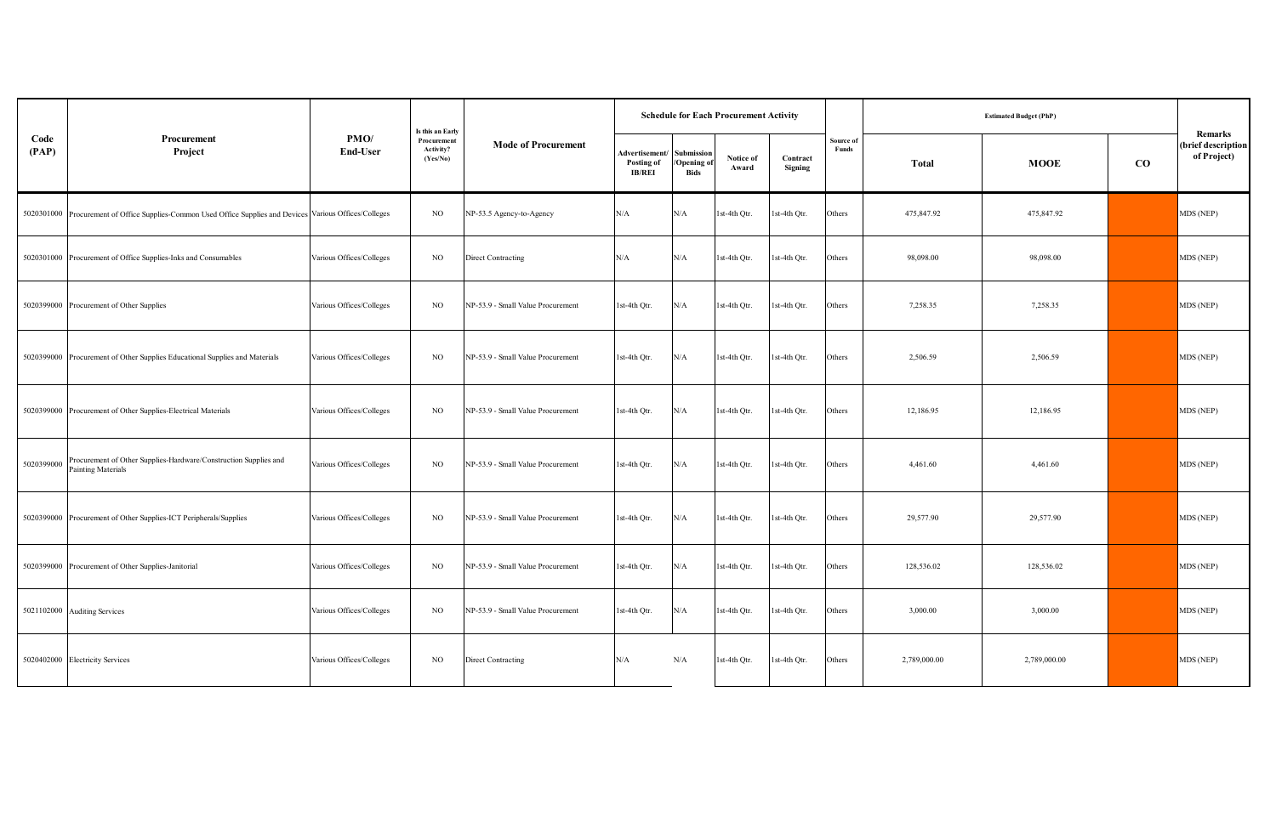|               |                                                                                                            |                          | Is this an Early                     |                                   |                                                      |                                              | <b>Schedule for Each Procurement Activity</b> |                     |                    |              | <b>Estimated Budget (PhP)</b> |           |                                                     |
|---------------|------------------------------------------------------------------------------------------------------------|--------------------------|--------------------------------------|-----------------------------------|------------------------------------------------------|----------------------------------------------|-----------------------------------------------|---------------------|--------------------|--------------|-------------------------------|-----------|-----------------------------------------------------|
| Code<br>(PAP) | Procurement<br>Project                                                                                     | PMO/<br><b>End-User</b>  | Procurement<br>Activity?<br>(Yes/No) | <b>Mode of Procurement</b>        | Advertisement/<br><b>Posting of</b><br><b>IB/REI</b> | <b>Submissio</b><br>Opening o<br><b>Bids</b> | Notice of<br>Award                            | Contract<br>Signing | Source of<br>Funds | <b>Total</b> | <b>MOOE</b>                   | $\bf{CO}$ | <b>Remarks</b><br>(brief description<br>of Project) |
|               | 5020301000 Procurement of Office Supplies-Common Used Office Supplies and Devices Various Offices/Colleges |                          | $_{\rm NO}$                          | NP-53.5 Agency-to-Agency          | N/A                                                  | N/A                                          | st-4th Qtr.                                   | 1st-4th Qtr.        | Others             | 475,847.92   | 475,847.92                    |           | MDS (NEP)                                           |
|               | 5020301000 Procurement of Office Supplies-Inks and Consumables                                             | Various Offices/Colleges | NO                                   | Direct Contracting                | N/A                                                  | N/A                                          | st-4th Qtr.                                   | 1st-4th Qtr.        | Others             | 98,098.00    | 98,098.00                     |           | MDS (NEP)                                           |
|               | 5020399000 Procurement of Other Supplies                                                                   | Various Offices/Colleges | NO.                                  | NP-53.9 - Small Value Procurement | st-4th Otr.                                          | N/A                                          | st-4th Otr.                                   | 1st-4th Otr.        | Others             | 7,258.35     | 7,258.35                      |           | MDS (NEP)                                           |
|               | 5020399000 Procurement of Other Supplies Educational Supplies and Materials                                | Various Offices/Colleges | NO.                                  | NP-53.9 - Small Value Procurement | 1st-4th Qtr.                                         | N/A                                          | st-4th Qtr.                                   | 1st-4th Qtr.        | Others             | 2,506.59     | 2,506.59                      |           | MDS (NEP)                                           |
|               | 5020399000 Procurement of Other Supplies-Electrical Materials                                              | Various Offices/Colleges | NO                                   | NP-53.9 - Small Value Procurement | 1st-4th Qtr.                                         | N/A                                          | 1st-4th Qtr.                                  | 1st-4th Qtr.        | Others             | 12,186.95    | 12,186.95                     |           | MDS (NEP)                                           |
| 5020399000    | Procurement of Other Supplies-Hardware/Construction Supplies and<br><b>Painting Materials</b>              | Various Offices/Colleges | NO.                                  | NP-53.9 - Small Value Procurement | 1st-4th Qtr.                                         | N/A                                          | 1st-4th Qtr.                                  | 1st-4th Qtr.        | Others             | 4,461.60     | 4,461.60                      |           | MDS (NEP)                                           |
|               | 5020399000 Procurement of Other Supplies-ICT Peripherals/Supplies                                          | Various Offices/Colleges | NO.                                  | NP-53.9 - Small Value Procurement | 1st-4th Qtr.                                         | N/A                                          | st-4th Qtr.                                   | 1st-4th Qtr.        | Others             | 29,577.90    | 29,577.90                     |           | MDS (NEP)                                           |
|               | 5020399000 Procurement of Other Supplies-Janitorial                                                        | Various Offices/Colleges | NO.                                  | NP-53.9 - Small Value Procurement | 1st-4th Qtr.                                         | N/A                                          | 1st-4th Qtr.                                  | 1st-4th Qtr.        | Others             | 128,536.02   | 128,536.02                    |           | MDS (NEP)                                           |
|               | 5021102000 Auditing Services                                                                               | Various Offices/Colleges | NO                                   | NP-53.9 - Small Value Procurement | 1st-4th Otr.                                         | N/A                                          | st-4th Otr.                                   | 1st-4th Otr.        | Others             | 3,000.00     | 3,000.00                      |           | MDS (NEP)                                           |
|               | 5020402000 Electricity Services                                                                            | Various Offices/Colleges | NO.                                  | <b>Direct Contracting</b>         | N/A                                                  | N/A                                          | 1st-4th Qtr.                                  | 1st-4th Qtr.        | Others             | 2,789,000.00 | 2,789,000.00                  |           | MDS (NEP)                                           |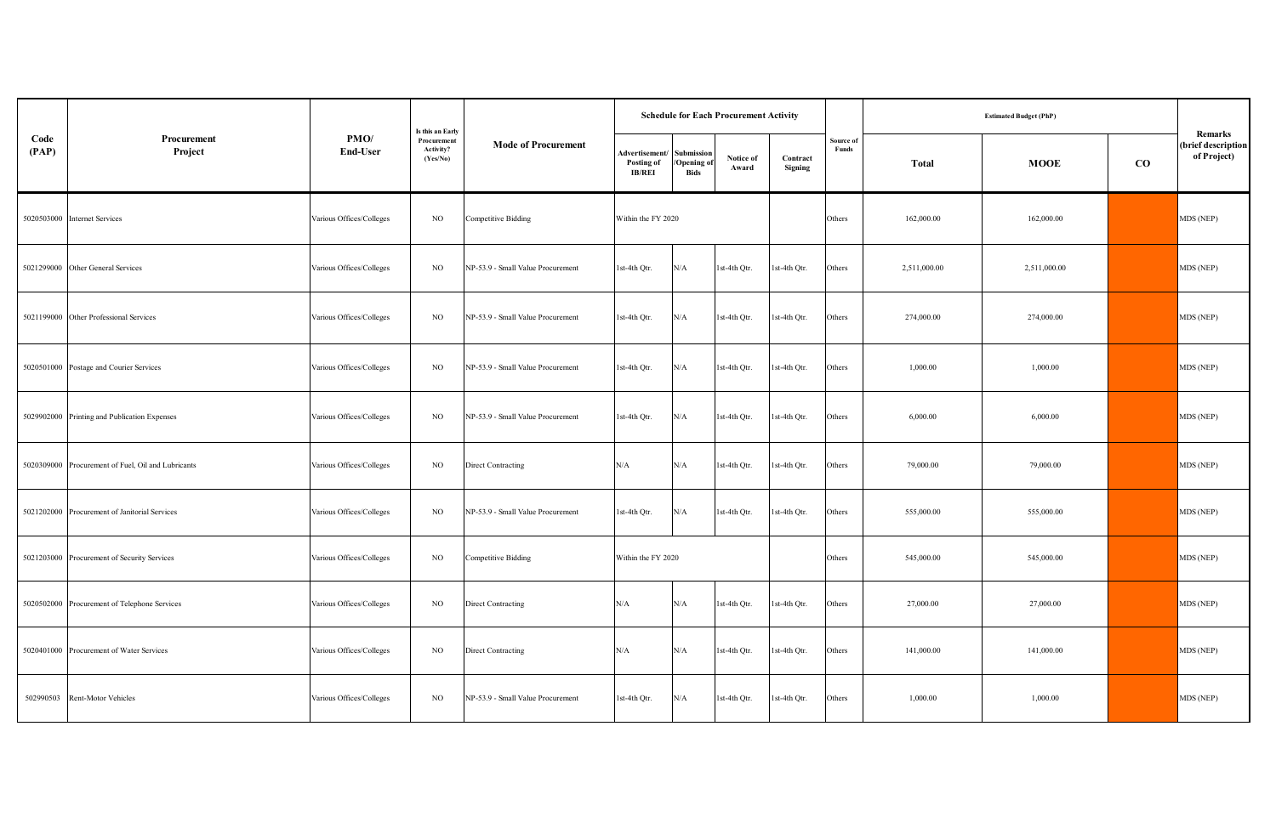|               |                                                    |                          | Is this an Early                     |                                   |                                               |                                        | <b>Schedule for Each Procurement Activity</b> |                     |                    |              | <b>Estimated Budget (PhP)</b> |           |                                                     |
|---------------|----------------------------------------------------|--------------------------|--------------------------------------|-----------------------------------|-----------------------------------------------|----------------------------------------|-----------------------------------------------|---------------------|--------------------|--------------|-------------------------------|-----------|-----------------------------------------------------|
| Code<br>(PAP) | Procurement<br>Project                             | PMO/<br>End-User         | Procurement<br>Activity?<br>(Yes/No) | <b>Mode of Procurement</b>        | Advertisement/<br>Posting of<br><b>IB/REI</b> | Submission<br>Opening o<br><b>Bids</b> | Notice of<br>Award                            | Contract<br>Signing | Source of<br>Funds | <b>Total</b> | <b>MOOE</b>                   | $\bf{CO}$ | <b>Remarks</b><br>(brief description<br>of Project) |
|               | 5020503000 Internet Services                       | Various Offices/Colleges | $_{\rm NO}$                          | <b>Competitive Bidding</b>        | Within the FY 2020                            |                                        |                                               |                     | Others             | 162,000.00   | 162,000.00                    |           | MDS (NEP)                                           |
|               | 5021299000 Other General Services                  | Various Offices/Colleges | NO                                   | NP-53.9 - Small Value Procurement | st-4th Qtr.                                   | N/A                                    | st-4th Qtr.                                   | 1st-4th Qtr.        | Others             | 2,511,000.00 | 2,511,000.00                  |           | MDS (NEP)                                           |
|               | 5021199000 Other Professional Services             | Various Offices/Colleges | $_{\rm NO}$                          | NP-53.9 - Small Value Procurement | st-4th Qtr.                                   | N/A                                    | lst-4th Qtr.                                  | 1st-4th Qtr.        | <b>Others</b>      | 274,000.00   | 274,000.00                    |           | MDS (NEP)                                           |
|               | 5020501000 Postage and Courier Services            | Various Offices/Colleges | NO                                   | NP-53.9 - Small Value Procurement | st-4th Qtr.                                   | N/A                                    | st-4th Qtr.                                   | 1st-4th Qtr.        | <b>Others</b>      | 1,000.00     | 1,000.00                      |           | MDS (NEP)                                           |
|               | 5029902000 Printing and Publication Expenses       | Various Offices/Colleges | NO.                                  | NP-53.9 - Small Value Procurement | st-4th Qtr.                                   | N/A                                    | st-4th Qtr.                                   | 1st-4th Qtr.        | <b>Others</b>      | 6,000.00     | 6,000.00                      |           | MDS (NEP)                                           |
|               | 5020309000 Procurement of Fuel, Oil and Lubricants | Various Offices/Colleges | $_{\rm NO}$                          | <b>Direct Contracting</b>         | $\rm N/A$                                     | N/A                                    | 1st-4th Qtr.                                  | 1st-4th Qtr.        | Others             | 79,000.00    | 79,000.00                     |           | MDS (NEP)                                           |
|               | 5021202000 Procurement of Janitorial Services      | Various Offices/Colleges | NO.                                  | NP-53.9 - Small Value Procurement | 1st-4th Qtr.                                  | N/A                                    | 1st-4th Qtr.                                  | 1st-4th Qtr.        | Others             | 555,000.00   | 555,000.00                    |           | MDS (NEP)                                           |
|               | 5021203000 Procurement of Security Services        | Various Offices/Colleges | NO.                                  | <b>Competitive Bidding</b>        | Within the FY 2020                            |                                        |                                               |                     | Others             | 545,000.00   | 545,000.00                    |           | MDS (NEP)                                           |
|               | 5020502000 Procurement of Telephone Services       | Various Offices/Colleges | $_{\rm NO}$                          | <b>Direct Contracting</b>         | $\rm N/A$                                     | N/A                                    | 1st-4th Qtr.                                  | 1st-4th Qtr.        | Others             | 27,000.00    | 27,000.00                     |           | MDS (NEP)                                           |
|               | 5020401000 Procurement of Water Services           | Various Offices/Colleges | $_{\rm NO}$                          | <b>Direct Contracting</b>         | N/A                                           | N/A                                    | st-4th Qtr.                                   | 1st-4th Qtr.        | Others             | 141,000.00   | 141,000.00                    |           | MDS (NEP)                                           |
|               | 502990503 Rent-Motor Vehicles                      | Various Offices/Colleges | NO                                   | NP-53.9 - Small Value Procurement | 1st-4th Qtr.                                  | N/A                                    | st-4th Qtr.                                   | 1st-4th Qtr.        | <b>Others</b>      | 1,000.00     | 1,000.00                      |           | MDS (NEP)                                           |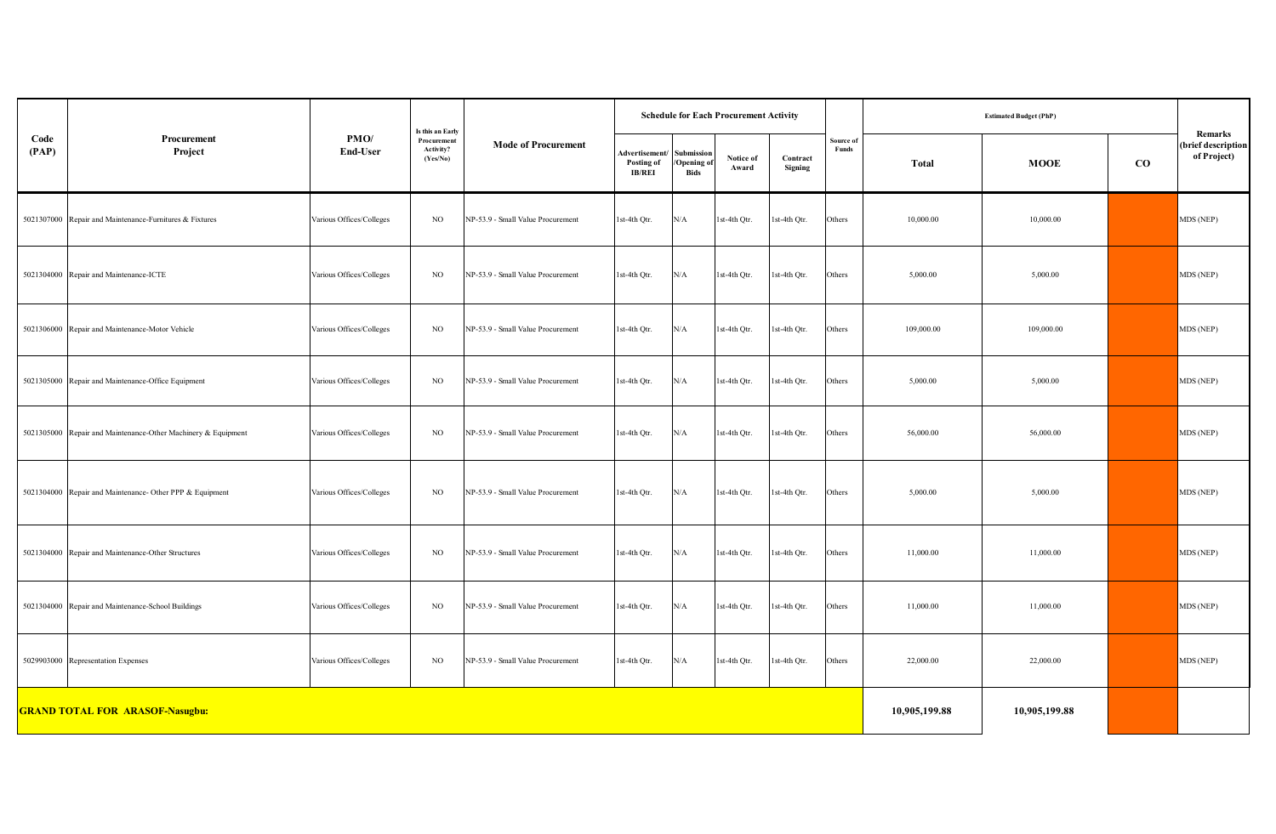|               |                                                               |                          | Is this an Early                     |                                   |                                                      |                                         | <b>Schedule for Each Procurement Activity</b> |                     |                    |               | <b>Estimated Budget (PhP)</b> |           |                                                     |
|---------------|---------------------------------------------------------------|--------------------------|--------------------------------------|-----------------------------------|------------------------------------------------------|-----------------------------------------|-----------------------------------------------|---------------------|--------------------|---------------|-------------------------------|-----------|-----------------------------------------------------|
| Code<br>(PAP) | Procurement<br>Project                                        | PMO/<br>End-User         | Procurement<br>Activity?<br>(Yes/No) | <b>Mode of Procurement</b>        | Advertisement/<br><b>Posting of</b><br><b>IB/REI</b> | Submission<br>/Opening o<br><b>Bids</b> | Notice of<br>Award                            | Contract<br>Signing | Source of<br>Funds | Total         | <b>MOOE</b>                   | $\bf{CO}$ | <b>Remarks</b><br>(brief description<br>of Project) |
|               | 5021307000 Repair and Maintenance-Furnitures & Fixtures       | Various Offices/Colleges | $_{\rm NO}$                          | NP-53.9 - Small Value Procurement | 1st-4th Qtr.                                         | N/A                                     | st-4th Qtr.                                   | 1st-4th Qtr.        | Others             | 10,000.00     | 10,000.00                     |           | MDS (NEP)                                           |
|               | 5021304000 Repair and Maintenance-ICTE                        | Various Offices/Colleges | NO                                   | NP-53.9 - Small Value Procurement | 1st-4th Qtr.                                         | N/A                                     | 1st-4th Qtr.                                  | 1st-4th Qtr.        | Others             | 5,000.00      | 5,000.00                      |           | MDS (NEP)                                           |
|               | 5021306000 Repair and Maintenance-Motor Vehicle               | Various Offices/Colleges | $_{\rm NO}$                          | NP-53.9 - Small Value Procurement | 1st-4th Qtr.                                         | N/A                                     | st-4th Qtr.                                   | 1st-4th Qtr.        | Others             | 109,000.00    | 109,000.00                    |           | MDS (NEP)                                           |
|               | 5021305000 Repair and Maintenance-Office Equipment            | Various Offices/Colleges | NO                                   | NP-53.9 - Small Value Procurement | 1st-4th Qtr.                                         | N/A                                     | st-4th Qtr.                                   | 1st-4th Qtr.        | Others             | 5,000.00      | 5,000.00                      |           | MDS (NEP)                                           |
|               | 5021305000 Repair and Maintenance-Other Machinery & Equipment | Various Offices/Colleges | NO.                                  | NP-53.9 - Small Value Procurement | 1st-4th Qtr.                                         | N/A                                     | st-4th Qtr.                                   | 1st-4th Qtr.        | Others             | 56,000.00     | 56,000.00                     |           | MDS (NEP)                                           |
|               | 5021304000 Repair and Maintenance- Other PPP & Equipment      | Various Offices/Colleges | NO                                   | NP-53.9 - Small Value Procurement | 1st-4th Qtr.                                         | N/A                                     | st-4th Qtr.                                   | 1st-4th Qtr.        | Others             | 5,000.00      | 5,000.00                      |           | MDS (NEP)                                           |
|               | 5021304000 Repair and Maintenance-Other Structures            | Various Offices/Colleges | NO                                   | NP-53.9 - Small Value Procurement | 1st-4th Qtr.                                         | N/A                                     | st-4th Qtr.                                   | 1st-4th Qtr.        | Others             | 11,000.00     | 11,000.00                     |           | MDS (NEP)                                           |
|               | 5021304000 Repair and Maintenance-School Buildings            | Various Offices/Colleges | NO.                                  | NP-53.9 - Small Value Procurement | 1st-4th Qtr.                                         | N/A                                     | 1st-4th Qtr.                                  | 1st-4th Qtr.        | Others             | 11,000.00     | 11,000.00                     |           | MDS (NEP)                                           |
|               | 5029903000 Representation Expenses                            | Various Offices/Colleges | NO                                   | NP-53.9 - Small Value Procurement | 1st-4th Qtr.                                         | N/A                                     | st-4th Qtr.                                   | 1st-4th Qtr.        | Others             | 22,000.00     | 22,000.00                     |           | MDS (NEP)                                           |
|               | <b>GRAND TOTAL FOR ARASOF-Nasugbu:</b>                        |                          |                                      |                                   |                                                      |                                         |                                               |                     |                    | 10,905,199.88 | 10,905,199.88                 |           |                                                     |